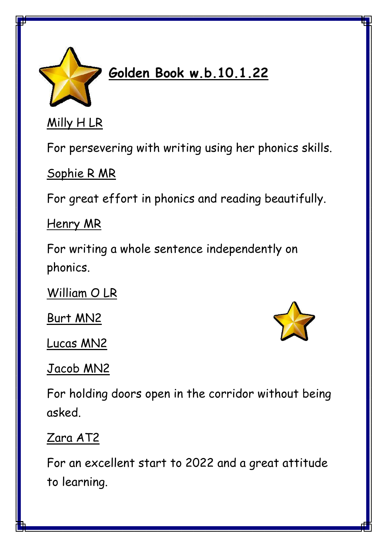

## **Golden Book w.b.10.1.22**

Milly H LR

For persevering with writing using her phonics skills.

Sophie R MR

For great effort in phonics and reading beautifully.

Henry MR

For writing a whole sentence independently on phonics.

William O LR

Burt MN2

Lucas MN2



Jacob MN2

For holding doors open in the corridor without being asked.

Zara AT2

For an excellent start to 2022 and a great attitude to learning.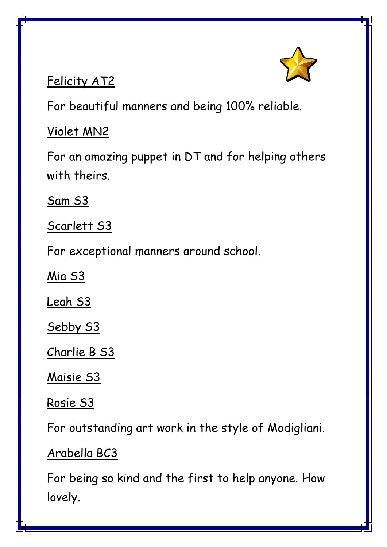

## Felicity AT2

For beautiful manners and being 100% reliable.

## Violet MN2

For an amazing puppet in DT and for helping others with theirs.

Sam S3

Scarlett S3

For exceptional manners around school.

Mia S3

Leah S3

Sebby S3

Charlie B S3

Maisie S3

Rosie S3

For outstanding art work in the style of Modigliani.

Arabella BC3

For being so kind and the first to help anyone. How lovely.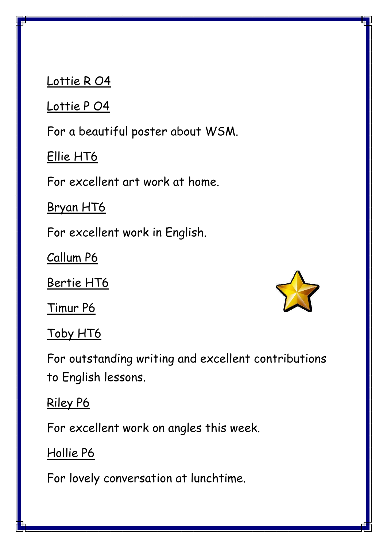Lottie RO4

Lottie P O4

For a beautiful poster about WSM.

Ellie HT6

For excellent art work at home.

Bryan HT6

For excellent work in English.

Callum P6

Bertie HT6

Timur P6

Toby HT6

For outstanding writing and excellent contributions to English lessons.

Riley P6

For excellent work on angles this week.

Hollie P6

For lovely conversation at lunchtime.